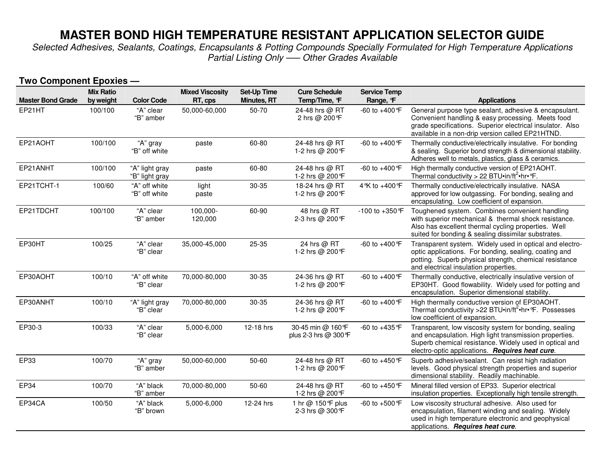# **MASTER BOND HIGH TEMPERATURE RESISTANT APPLICATION SELECTOR GUIDE**

 *Selected Adhesives, Sealants, Coatings, Encapsulants & Potting Compounds Specially Formulated for High Temperature Applications Partial Listing Only –— Other Grades Available* 

| <b>Two Component Epoxies —</b> |                               |                                  |                                   |                                          |                                            |                                 |                                                                                                                                                                                                                               |  |
|--------------------------------|-------------------------------|----------------------------------|-----------------------------------|------------------------------------------|--------------------------------------------|---------------------------------|-------------------------------------------------------------------------------------------------------------------------------------------------------------------------------------------------------------------------------|--|
| <b>Master Bond Grade</b>       | <b>Mix Ratio</b><br>by weight | <b>Color Code</b>                | <b>Mixed Viscosity</b><br>RT, cps | <b>Set-Up Time</b><br><b>Minutes, RT</b> | <b>Cure Schedule</b><br>Temp/Time, F       | <b>Service Temp</b><br>Range, F | <b>Applications</b>                                                                                                                                                                                                           |  |
| EP21HT                         | 100/100                       | "A" clear<br>"B" amber           | 50,000-60,000                     | 50-70                                    | 24-48 hrs @ RT<br>2 hrs @ 200°F            | -60 to +400 °F                  | General purpose type sealant, adhesive & encapsulant.<br>Convenient handling & easy processing. Meets food<br>grade specifications. Superior electrical insulator. Also<br>available in a non-drip version called EP21HTND.   |  |
| EP21AOHT                       | 100/100                       | "A" gray<br>"B" off white        | paste                             | 60-80                                    | 24-48 hrs @ RT<br>1-2 hrs @ 200°F          | -60 to +400 °F                  | Thermally conductive/electrically insulative. For bonding<br>& sealing. Superior bond strength & dimensional stability.<br>Adheres well to metals, plastics, glass & ceramics.                                                |  |
| EP21ANHT                       | 100/100                       | "A" light gray<br>"B" light gray | paste                             | 60-80                                    | 24-48 hrs @ RT<br>1-2 hrs @ 200°F          | -60 to +400 °F                  | High thermally conductive version of EP21AOHT.<br>Thermal conductivity > 22 BTU $\cdot$ in/ft <sup>2</sup> $\cdot$ hr $\cdot$ °F.                                                                                             |  |
| EP21TCHT-1                     | 100/60                        | "A" off white<br>"B" off white   | light<br>paste                    | 30-35                                    | 18-24 hrs @ RT<br>1-2 hrs @ 200°F          | 4 °K to +400 °F                 | Thermally conductive/electrically insulative. NASA<br>approved for low outgassing. For bonding, sealing and<br>encapsulating. Low coefficient of expansion.                                                                   |  |
| EP21TDCHT                      | 100/100                       | "A" clear<br>"B" amber           | 100,000-<br>120,000               | 60-90                                    | 48 hrs @ RT<br>2-3 hrs @ 200°F             | -100 to +350 °F                 | Toughened system. Combines convenient handling<br>with superior mechanical & thermal shock resistance.<br>Also has excellent thermal cycling properties. Well<br>suited for bonding & sealing dissimilar substrates.          |  |
| EP30HT                         | 100/25                        | "A" clear<br>"B" clear           | 35,000-45,000                     | 25-35                                    | 24 hrs @ RT<br>1-2 hrs @ 200°F             | -60 to +400 °F                  | Transparent system. Widely used in optical and electro-<br>optic applications. For bonding, sealing, coating and<br>potting. Superb physical strength, chemical resistance<br>and electrical insulation properties.           |  |
| EP30AOHT                       | 100/10                        | "A" off white<br>"B" clear       | 70,000-80,000                     | 30-35                                    | 24-36 hrs @ RT<br>1-2 hrs @ 200°F          | -60 to +400 °F                  | Thermally conductive, electrically insulative version of<br>EP30HT. Good flowability. Widely used for potting and<br>encapsulation. Superior dimensional stability.                                                           |  |
| EP30ANHT                       | 100/10                        | "A" light gray<br>"B" clear      | 70,000-80,000                     | 30-35                                    | 24-36 hrs @ RT<br>1-2 hrs @ 200°F          | -60 to +400 °F                  | High thermally conductive version of EP30AOHT.<br>Thermal conductivity >22 BTU.in/ft <sup>2</sup> .hr. Fossesses<br>low coefficient of expansion.                                                                             |  |
| EP30-3                         | 100/33                        | "A" clear<br>"B" clear           | 5,000-6,000                       | 12-18 hrs                                | 30-45 min @ 160°F<br>plus 2-3 hrs @ 300 °F | -60 to +435 °F                  | Transparent, low viscosity system for bonding, sealing<br>and encapsulation. High light transmission properties.<br>Superb chemical resistance. Widely used in optical and<br>electro-optic applications. Requires heat cure. |  |
| EP33                           | 100/70                        | "A" gray<br>"B" amber            | 50,000-60,000                     | 50-60                                    | 24-48 hrs @ RT<br>1-2 hrs @ 200°F          | $-60$ to $+450$ °F              | Superb adhesive/sealant. Can resist high radiation<br>levels. Good physical strength properties and superior<br>dimensional stability. Readily machinable.                                                                    |  |
| EP34                           | 100/70                        | "A" black<br>"B" amber           | 70,000-80,000                     | 50-60                                    | 24-48 hrs @ RT<br>1-2 hrs @ 200 °F         | -60 to +450 °F                  | Mineral filled version of EP33. Superior electrical<br>insulation properties. Exceptionally high tensile strength.                                                                                                            |  |
| EP34CA                         | 100/50                        | "A" black<br>"B" brown           | 5,000-6,000                       | 12-24 hrs                                | 1 hr @ 150 °F plus<br>2-3 hrs @ 300 °F     | -60 to +500 °F                  | Low viscosity structural adhesive. Also used for<br>encapsulation, filament winding and sealing. Widely<br>used in high temperature electronic and geophysical<br>applications. Requires heat cure.                           |  |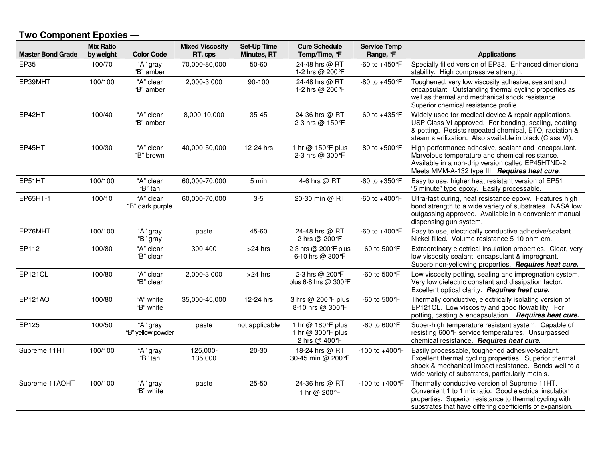#### **Two Component Epoxies —**

| <b>Master Bond Grade</b> | <b>Mix Ratio</b><br>by weight | <b>Color Code</b>             | <b>Mixed Viscosity</b><br>RT, cps | <b>Set-Up Time</b><br><b>Minutes, RT</b> | <b>Cure Schedule</b><br>Temp/Time, F                      | <b>Service Temp</b><br>Range, F | <b>Applications</b>                                                                                                                                                                                                                 |
|--------------------------|-------------------------------|-------------------------------|-----------------------------------|------------------------------------------|-----------------------------------------------------------|---------------------------------|-------------------------------------------------------------------------------------------------------------------------------------------------------------------------------------------------------------------------------------|
| EP35                     | 100/70                        | "A" gray<br>"B" amber         | 70,000-80,000                     | 50-60                                    | 24-48 hrs @ RT<br>1-2 hrs @ 200 °F                        | -60 to +450 °F                  | Specially filled version of EP33. Enhanced dimensional<br>stability. High compressive strength.                                                                                                                                     |
| EP39MHT                  | 100/100                       | "A" clear<br>"B" amber        | 2,000-3,000                       | 90-100                                   | 24-48 hrs @ RT<br>1-2 hrs @ 200 °F                        | -80 to +450 °F                  | Toughened, very low viscosity adhesive, sealant and<br>encapsulant. Outstanding thermal cycling properties as<br>well as thermal and mechanical shock resistance.<br>Superior chemical resistance profile.                          |
| EP42HT                   | 100/40                        | "A" clear<br>"B" amber        | 8,000-10,000                      | $35 - 45$                                | 24-36 hrs @ RT<br>2-3 hrs @ 150°F                         | -60 to +435 °F                  | Widely used for medical device & repair applications.<br>USP Class VI approved. For bonding, sealing, coating<br>& potting. Resists repeated chemical, ETO, radiation &<br>steam sterilization. Also available in black (Class VI). |
| EP45HT                   | 100/30                        | "A" clear<br>"B" brown        | 40,000-50,000                     | 12-24 hrs                                | 1 hr @ 150 °F plus<br>2-3 hrs @ 300 °F                    | -80 to +500 °F                  | High performance adhesive, sealant and encapsulant.<br>Marvelous temperature and chemical resistance.<br>Available in a non-drip version called EP45HTND-2.<br>Meets MMM-A-132 type III. Requires heat cure.                        |
| EP51HT                   | 100/100                       | "A" clear<br>"B" tan          | 60,000-70,000                     | 5 min                                    | 4-6 hrs @ RT                                              | -60 to +350 °F                  | Easy to use, higher heat resistant version of EP51<br>"5 minute" type epoxy. Easily processable.                                                                                                                                    |
| EP65HT-1                 | 100/10                        | "A" clear<br>"B" dark purple  | 60,000-70,000                     | $3-5$                                    | 20-30 min @ RT                                            | -60 to +400 °F                  | Ultra-fast curing, heat resistance epoxy. Features high<br>bond strength to a wide variety of substrates. NASA low<br>outgassing approved. Available in a convenient manual<br>dispensing gun system.                               |
| EP76MHT                  | 100/100                       | "A" gray<br>"B" gray          | paste                             | 45-60                                    | 24-48 hrs @ RT<br>2 hrs @ 200 °F                          | -60 to +400 °F                  | Easy to use, electrically conductive adhesive/sealant.<br>Nickel filled. Volume resistance 5-10 ohm-cm.                                                                                                                             |
| EP112                    | 100/80                        | "A" clear<br>"B" clear        | 300-400                           | >24 hrs                                  | 2-3 hrs @ 200 °F plus<br>6-10 hrs @ 300°F                 | -60 to 500 °F                   | Extraordinary electrical insulation properties. Clear, very<br>low viscosity sealant, encapsulant & impregnant.<br>Superb non-yellowing properties. Requires heat cure.                                                             |
| EP121CL                  | 100/80                        | "A" clear<br>"B" clear        | 2,000-3,000                       | >24 hrs                                  | 2-3 hrs @ 200 °F<br>plus 6-8 hrs @ 300 °F                 | -60 to 500 °F                   | Low viscosity potting, sealing and impregnation system.<br>Very low dielectric constant and dissipation factor.<br>Excellent optical clarity. Requires heat cure.                                                                   |
| <b>EP121AO</b>           | 100/80                        | "A" white<br>"B" white        | 35,000-45,000                     | 12-24 hrs                                | 3 hrs @ 200°F plus<br>8-10 hrs @ 300 °F                   | -60 to 500 °F                   | Thermally conductive, electrically isolating version of<br>EP121CL. Low viscosity and good flowability. For<br>potting, casting & encapsulation. Requires heat cure.                                                                |
| EP125                    | 100/50                        | "A" gray<br>"B" yellow powder | paste                             | not applicable                           | 1 hr @ 180 °F plus<br>1 hr @ 300 °F plus<br>2 hrs @ 400°F | -60 to 600 °F                   | Super-high temperature resistant system. Capable of<br>resisting 600°F service temperatures. Unsurpassed<br>chemical resistance. Requires heat cure.                                                                                |
| Supreme 11HT             | 100/100                       | "A" gray<br>"B" tan           | 125,000-<br>135,000               | 20-30                                    | 18-24 hrs @ RT<br>30-45 min @ 200°F                       | -100 to +400 °F                 | Easily processable, toughened adhesive/sealant.<br>Excellent thermal cycling properties. Superior thermal<br>shock & mechanical impact resistance. Bonds well to a<br>wide variety of substrates, particularly metals.              |
| Supreme 11AOHT           | 100/100                       | "A" gray<br>"B" white         | paste                             | 25-50                                    | 24-36 hrs @ RT<br>1 hr @ 200°F                            | -100 to +400 °F                 | Thermally conductive version of Supreme 11HT.<br>Convenient 1 to 1 mix ratio. Good electrical insulation<br>properties. Superior resistance to thermal cycling with<br>substrates that have differing coefficients of expansion.    |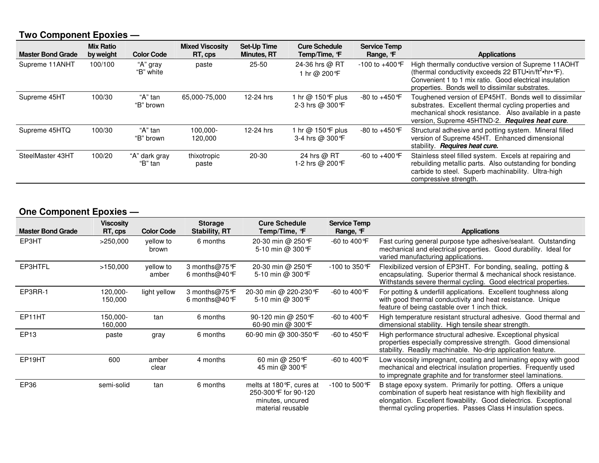## **Two Component Epoxies —**

| <b>Master Bond Grade</b> | <b>Mix Ratio</b><br>by weight | <b>Color Code</b>        | <b>Mixed Viscosity</b><br>RT, cps | Set-Up Time<br><b>Minutes, RT</b> | <b>Cure Schedule</b><br>Temp/Time, F  | <b>Service Temp</b><br>Range, F | <b>Applications</b>                                                                                                                                                                                                                    |
|--------------------------|-------------------------------|--------------------------|-----------------------------------|-----------------------------------|---------------------------------------|---------------------------------|----------------------------------------------------------------------------------------------------------------------------------------------------------------------------------------------------------------------------------------|
| Supreme 11ANHT           | 100/100                       | "A" gray<br>"B" white    | paste                             | $25 - 50$                         | 24-36 hrs @ RT<br>1 hr @ 200°F        | $-100$ to $+400$ °F             | High thermally conductive version of Supreme 11AOHT<br>(thermal conductivity exceeds 22 BTU.in/ft <sup>2</sup> .hr.ºF).<br>Convenient 1 to 1 mix ratio. Good electrical insulation<br>properties. Bonds well to dissimilar substrates. |
| Supreme 45HT             | 100/30                        | "A" tan<br>"B" brown     | 65,000-75,000                     | 12-24 hrs                         | 1 hr @ 150°F plus<br>2-3 hrs @ 300 °F | -80 to +450 °F                  | Toughened version of EP45HT. Bonds well to dissimilar<br>substrates. Excellent thermal cycling properties and<br>mechanical shock resistance. Also available in a paste<br>version, Supreme 45HTND-2. Requires heat cure.              |
| Supreme 45HTQ            | 100/30                        | "A" tan<br>"B" brown     | 100.000-<br>120,000               | 12-24 hrs                         | 1 hr @ 150°F plus<br>3-4 hrs @ 300 °F | $-80$ to $+450$ °F              | Structural adhesive and potting system. Mineral filled<br>version of Supreme 45HT. Enhanced dimensional<br>stability. <b>Requires heat cure.</b>                                                                                       |
| SteelMaster 43HT         | 100/20                        | "A" dark gray<br>"B" tan | thixotropic<br>paste              | 20-30                             | 24 hrs @ RT<br>1-2 hrs @ 200 °F       | $-60$ to $+400$ °F              | Stainless steel filled system. Excels at repairing and<br>rebuilding metallic parts. Also outstanding for bonding<br>carbide to steel. Superb machinability. Ultra-high<br>compressive strength.                                       |

## **One Component Epoxies —**

| <b>Master Bond Grade</b> | <b>Viscosity</b><br>RT, cps | <b>Color Code</b>  | <b>Storage</b><br><b>Stability, RT</b>       | <b>Cure Schedule</b><br>Temp/Time, °F                                                       | <b>Service Temp</b><br>Range, F | <b>Applications</b>                                                                                                                                                                                                                                                 |
|--------------------------|-----------------------------|--------------------|----------------------------------------------|---------------------------------------------------------------------------------------------|---------------------------------|---------------------------------------------------------------------------------------------------------------------------------------------------------------------------------------------------------------------------------------------------------------------|
| EP3HT                    | >250,000                    | yellow to<br>brown | 6 months                                     | 20-30 min @ 250 °F<br>5-10 min @ 300 °F                                                     | -60 to 400 °F                   | Fast curing general purpose type adhesive/sealant. Outstanding<br>mechanical and electrical properties. Good durability. Ideal for<br>varied manufacturing applications.                                                                                            |
| EP3HTFL                  | >150,000                    | vellow to<br>amber | 3 months@75°F<br>6 months@40 $\textdegree$ F | 20-30 min @ 250°F<br>5-10 min @ 300 °F                                                      | -100 to 350 °F                  | Flexibilized version of EP3HT. For bonding, sealing, potting &<br>encapsulating. Superior thermal & mechanical shock resistance.<br>Withstands severe thermal cycling. Good electrical properties.                                                                  |
| EP3RR-1                  | 120,000-<br>150,000         | light yellow       | 3 months@75°F<br>6 months@40 $\textdegree$ F | 20-30 min @ 220-230 °F<br>5-10 min @ 300 °F                                                 | -60 to 400 °F                   | For potting & underfill applications. Excellent toughness along<br>with good thermal conductivity and heat resistance. Unique<br>feature of being castable over 1 inch thick.                                                                                       |
| EP11HT                   | 150,000-<br>160,000         | tan                | 6 months                                     | 90-120 min @ 250 °F<br>60-90 min @ 300 °F                                                   | -60 to 400 °F                   | High temperature resistant structural adhesive. Good thermal and<br>dimensional stability. High tensile shear strength.                                                                                                                                             |
| EP <sub>13</sub>         | paste                       | gray               | 6 months                                     | 60-90 min @ 300-350 °F                                                                      | -60 to 450 °F                   | High performance structural adhesive. Exceptional physical<br>properties especially compressive strength. Good dimensional<br>stability. Readily machinable. No-drip application feature.                                                                           |
| EP <sub>19HT</sub>       | 600                         | amber<br>clear     | 4 months                                     | 60 min @ 250 °F<br>45 min @ 300 °F                                                          | -60 to 400 °F                   | Low viscosity impregnant, coating and laminating epoxy with good<br>mechanical and electrical insulation properties. Frequently used<br>to impregnate graphite and for transformer steel laminations.                                                               |
| EP36                     | semi-solid                  | tan                | 6 months                                     | melts at 180 °F, cures at<br>250-300 °F for 90-120<br>minutes, uncured<br>material reusable | $-100$ to 500 °F                | B stage epoxy system. Primarily for potting. Offers a unique<br>combination of superb heat resistance with high flexibility and<br>elongation. Excellent flowability. Good dielectrics. Exceptional<br>thermal cycling properties. Passes Class H insulation specs. |